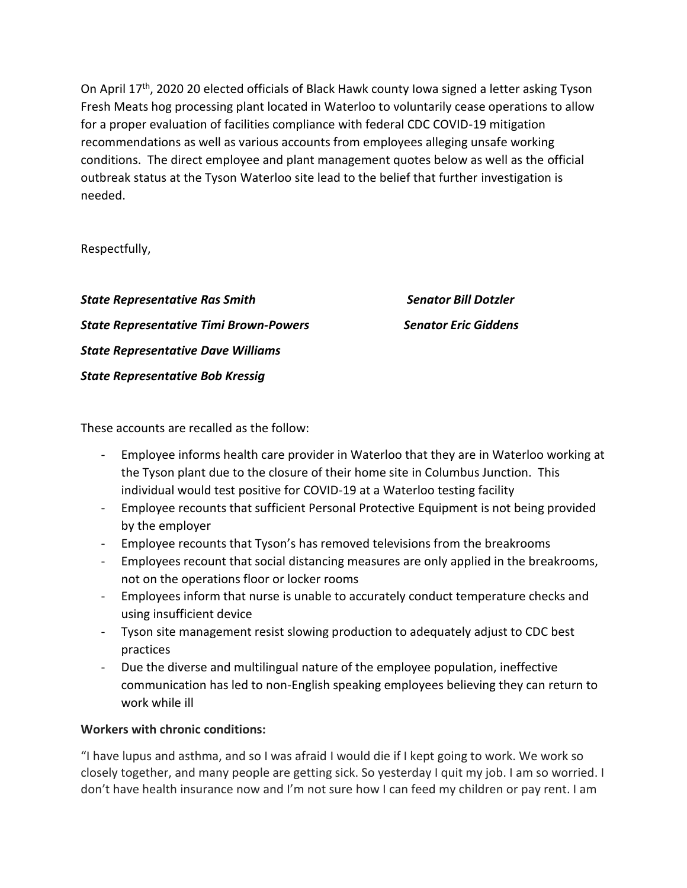On April 17<sup>th</sup>, 2020 20 elected officials of Black Hawk county Iowa signed a letter asking Tyson Fresh Meats hog processing plant located in Waterloo to voluntarily cease operations to allow for a proper evaluation of facilities compliance with federal CDC COVID-19 mitigation recommendations as well as various accounts from employees alleging unsafe working conditions. The direct employee and plant management quotes below as well as the official outbreak status at the Tyson Waterloo site lead to the belief that further investigation is needed.

Respectfully,

*State Representative Ras Smith Senator Bill Dotzler State Representative Timi Brown-Powers Senator Eric Giddens State Representative Dave Williams State Representative Bob Kressig*

These accounts are recalled as the follow:

- Employee informs health care provider in Waterloo that they are in Waterloo working at the Tyson plant due to the closure of their home site in Columbus Junction. This individual would test positive for COVID-19 at a Waterloo testing facility
- Employee recounts that sufficient Personal Protective Equipment is not being provided by the employer
- Employee recounts that Tyson's has removed televisions from the breakrooms
- Employees recount that social distancing measures are only applied in the breakrooms, not on the operations floor or locker rooms
- Employees inform that nurse is unable to accurately conduct temperature checks and using insufficient device
- Tyson site management resist slowing production to adequately adjust to CDC best practices
- Due the diverse and multilingual nature of the employee population, ineffective communication has led to non-English speaking employees believing they can return to work while ill

## **Workers with chronic conditions:**

"I have lupus and asthma, and so I was afraid I would die if I kept going to work. We work so closely together, and many people are getting sick. So yesterday I quit my job. I am so worried. I don't have health insurance now and I'm not sure how I can feed my children or pay rent. I am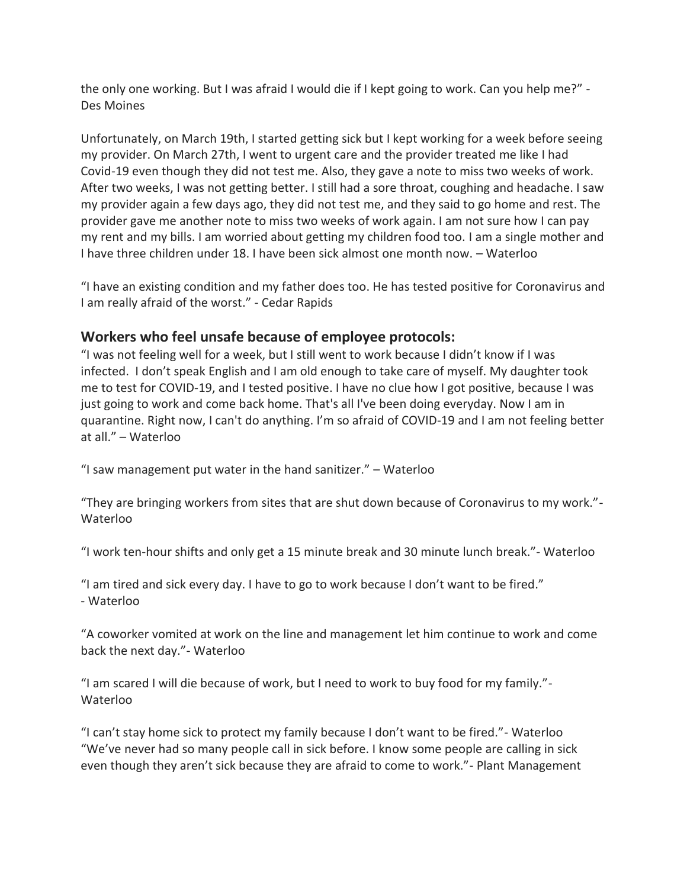the only one working. But I was afraid I would die if I kept going to work. Can you help me?" - Des Moines

Unfortunately, on March 19th, I started getting sick but I kept working for a week before seeing my provider. On March 27th, I went to urgent care and the provider treated me like I had Covid-19 even though they did not test me. Also, they gave a note to miss two weeks of work. After two weeks, I was not getting better. I still had a sore throat, coughing and headache. I saw my provider again a few days ago, they did not test me, and they said to go home and rest. The provider gave me another note to miss two weeks of work again. I am not sure how I can pay my rent and my bills. I am worried about getting my children food too. I am a single mother and I have three children under 18. I have been sick almost one month now. – Waterloo

"I have an existing condition and my father does too. He has tested positive for Coronavirus and I am really afraid of the worst." - Cedar Rapids

## **Workers who feel unsafe because of employee protocols:**

"I was not feeling well for a week, but I still went to work because I didn't know if I was infected. I don't speak English and I am old enough to take care of myself. My daughter took me to test for COVID-19, and I tested positive. I have no clue how I got positive, because I was just going to work and come back home. That's all I've been doing everyday. Now I am in quarantine. Right now, I can't do anything. I'm so afraid of COVID-19 and I am not feeling better at all." – Waterloo

"I saw management put water in the hand sanitizer." – Waterloo

"They are bringing workers from sites that are shut down because of Coronavirus to my work."- Waterloo

"I work ten-hour shifts and only get a 15 minute break and 30 minute lunch break."- Waterloo

"I am tired and sick every day. I have to go to work because I don't want to be fired." - Waterloo

"A coworker vomited at work on the line and management let him continue to work and come back the next day."- Waterloo

"I am scared I will die because of work, but I need to work to buy food for my family."- Waterloo

"I can't stay home sick to protect my family because I don't want to be fired."- Waterloo "We've never had so many people call in sick before. I know some people are calling in sick even though they aren't sick because they are afraid to come to work."- Plant Management